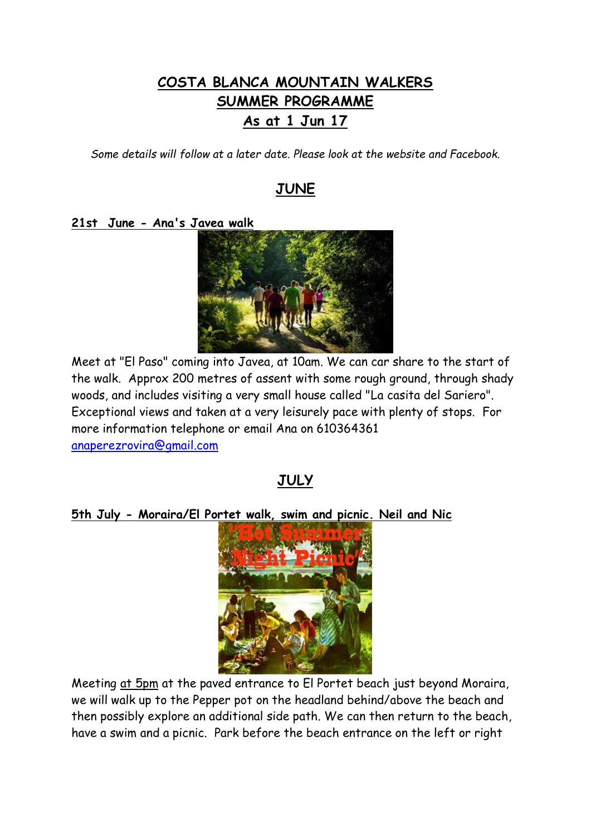# **COSTA BLANCA MOUNTAIN WALKERS SUMMER PROGRAMME As at 1 Jun 17**

*Some details will follow at a later date. Please look at the website and Facebook.*

# **JUNE**

### **21st June - Ana's Javea walk**



Meet at "El Paso" coming into Javea, at 10am. We can car share to the start of the walk. Approx 200 metres of assent with some rough ground, through shady woods, and includes visiting a very small house called "La casita del Sariero". Exceptional views and taken at a very leisurely pace with plenty of stops. For more information telephone or email Ana on 610364361 [anaperezrovira@gmail.com](mailto:anaperezrovira@gmail.com)

## **JULY**

### **5th July - Moraira/El Portet walk, swim and picnic. Neil and Nic**



Meeting at 5pm at the paved entrance to El Portet beach just beyond Moraira, we will walk up to the Pepper pot on the headland behind/above the beach and then possibly explore an additional side path. We can then return to the beach, have a swim and a picnic. Park before the beach entrance on the left or right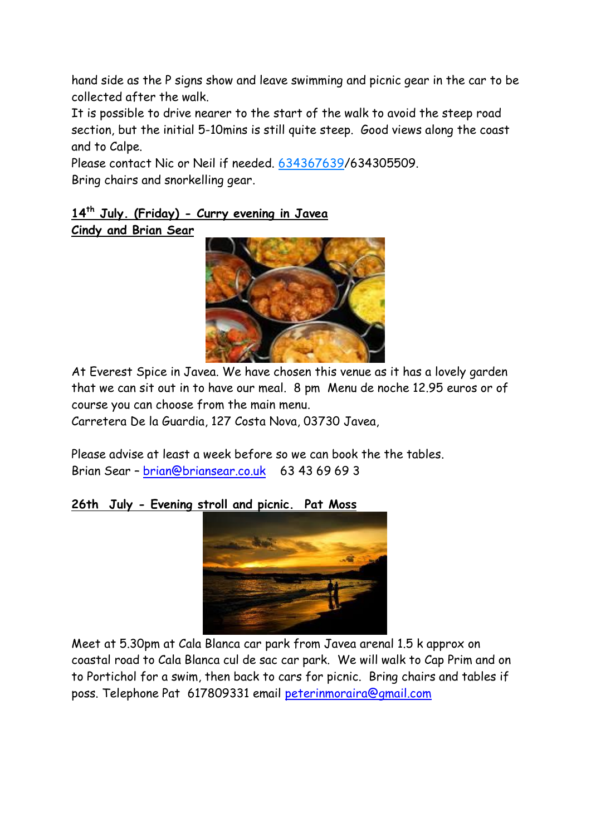hand side as the P signs show and leave swimming and picnic gear in the car to be collected after the walk.

It is possible to drive nearer to the start of the walk to avoid the steep road section, but the initial 5-10mins is still quite steep. Good views along the coast and to Calpe.

Please contact Nic or Neil if needed. 634367639/634305509. Bring chairs and snorkelling gear.

## **14th July. (Friday) - Curry evening in Javea Cindy and Brian Sear**



At Everest Spice in Javea. We have chosen this venue as it has a lovely garden that we can sit out in to have our meal. 8 pm Menu de noche 12.95 euros or of course you can choose from the main menu.

Carretera De la Guardia, 127 Costa Nova, 03730 Javea,

Please advise at least a week before so we can book the the tables. Brian Sear – [brian@briansear.co.uk](mailto:brian@briansear.co.uk) 63 43 69 69 3

## **26th July - Evening stroll and picnic. Pat Moss**



Meet at 5.30pm at Cala Blanca car park from Javea arenal 1.5 k approx on coastal road to Cala Blanca cul de sac car park. We will walk to Cap Prim and on to Portichol for a swim, then back to cars for picnic. Bring chairs and tables if poss. Telephone Pat 617809331 email [peterinmoraira@gmail.com](mailto:peterinmoraira@gmail.com)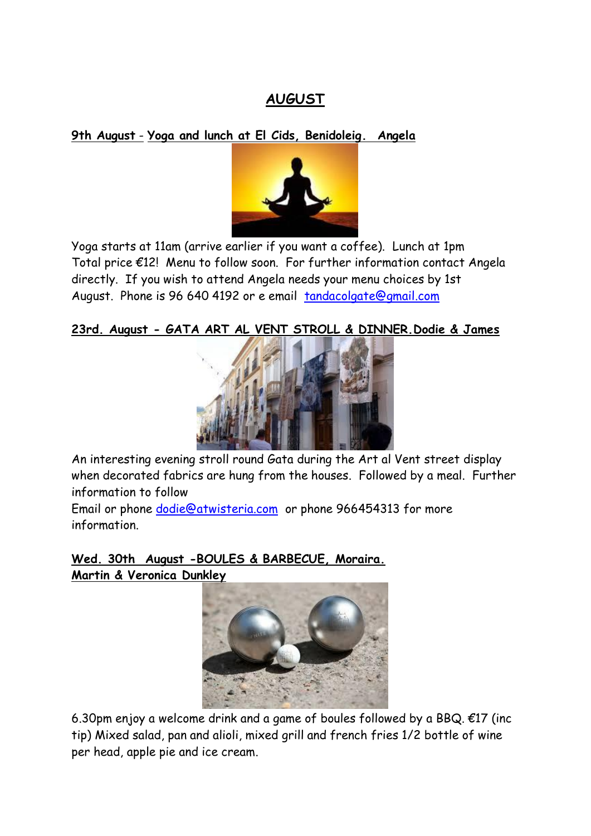# **AUGUST**

**9th August** - **Yoga and lunch at El Cids, Benidoleig. Angela**



Yoga starts at 11am (arrive earlier if you want a coffee). Lunch at 1pm Total price €12! Menu to follow soon. For further information contact Angela directly. If you wish to attend Angela needs your menu choices by 1st August. Phone is 96 640 4192 or e email [tandacolgate@gmail.com](mailto:tandacolgate@gmail.com)

## **23rd. August - GATA ART AL VENT STROLL & DINNER.Dodie & James**



An interesting evening stroll round Gata during the Art al Vent street display when decorated fabrics are hung from the houses. Followed by a meal. Further information to follow

Email or phone [dodie@atwisteria.com](mailto:dodie@atwisteria.com) or phone 966454313 for more information.

**Wed. 30th August -BOULES & BARBECUE, Moraira. Martin & Veronica Dunkley**



6.30pm enjoy a welcome drink and a game of boules followed by a BBQ.  $\epsilon$ 17 (inc tip) Mixed salad, pan and alioli, mixed grill and french fries 1/2 bottle of wine per head, apple pie and ice cream.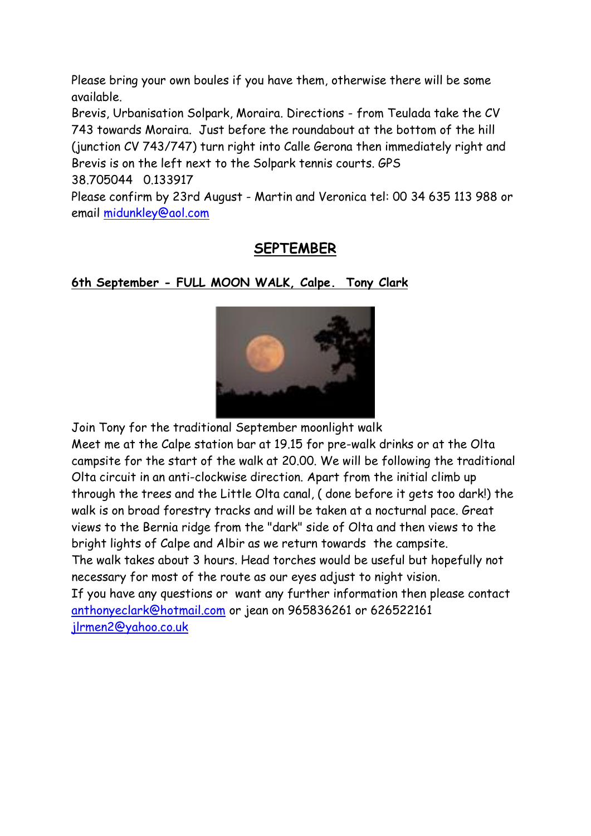Please bring your own boules if you have them, otherwise there will be some available.

Brevis, Urbanisation Solpark, Moraira. Directions - from Teulada take the CV 743 towards Moraira. Just before the roundabout at the bottom of the hill (junction CV 743/747) turn right into Calle Gerona then immediately right and Brevis is on the left next to the Solpark tennis courts. GPS 38.705044 0.133917

Please confirm by 23rd August - Martin and Veronica tel: 00 34 635 113 988 or email [midunkley@aol.com](mailto:midunkley@aol.com)

# **SEPTEMBER**

# **6th September - FULL MOON WALK, Calpe. Tony Clark**



Join Tony for the traditional September moonlight walk Meet me at the Calpe station bar at 19.15 for pre-walk drinks or at the Olta campsite for the start of the walk at 20.00. We will be following the traditional Olta circuit in an anti-clockwise direction. Apart from the initial climb up through the trees and the Little Olta canal, ( done before it gets too dark!) the walk is on broad forestry tracks and will be taken at a nocturnal pace. Great views to the Bernia ridge from the "dark" side of Olta and then views to the bright lights of Calpe and Albir as we return towards the campsite. The walk takes about 3 hours. Head torches would be useful but hopefully not necessary for most of the route as our eyes adjust to night vision. If you have any questions or want any further information then please contact [anthonyeclark@hotmail.com](mailto:anthonyeclark@hotmail.com) or jean on 965836261 or 626522161 [jlrmen2@yahoo.co.uk](mailto:jlrmen2@yahoo.co.uk)